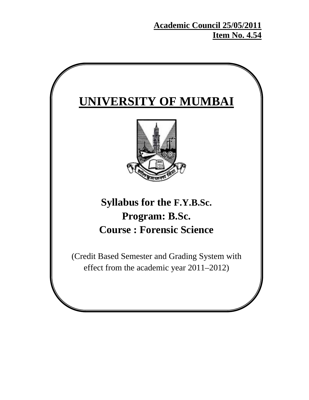**Academic Council 25/05/2011 Item No. 4.54**

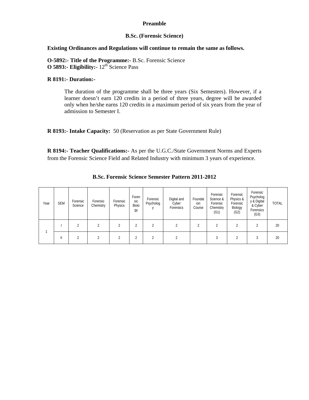### **Preamble**

### **B.Sc. (Forensic Science)**

### **Existing Ordinances and Regulations will continue to remain the same as follows.**

**O-5892:- Title of the Programme:-** B.Sc. Forensic Science **O 5893:- Eligibility:** -  $12^{th}$  Science Pass

### **R 8191:- Duration:-**

The duration of the programme shall be three years (Six Semesters). However, if a learner doesn't earn 120 credits in a period of three years, degree will be awarded only when he/she earns 120 credits in a maximum period of six years from the year of admission to Semester I.

**R 8193:- Intake Capacity:** 50 (Reservation as per State Government Rule)

**R 8194:- Teacher Qualifications:-** As per the U.G.C./State Government Norms and Experts from the Forensic Science Field and Related Industry with minimum 3 years of experience.

| Year | <b>SEM</b>   | Forensic<br>Science | Forensic<br>Chemistry | Forensic<br>Physics | Foren<br>sic<br><b>Biolo</b><br>gу | Forensic<br>Psycholog    | Digital and<br>Cyber<br>Forensics | Foundat<br>ion<br>Course | Forensic<br>Science &<br>Forensic<br>Chemistry<br>(G1) | Forensic<br>Physics &<br>Forensic<br>Biology<br>(G2) | Forensic<br>Psycholog<br>y & Digital<br>& Cyber<br>Forensics<br>(G3) | <b>TOTAL</b> |
|------|--------------|---------------------|-----------------------|---------------------|------------------------------------|--------------------------|-----------------------------------|--------------------------|--------------------------------------------------------|------------------------------------------------------|----------------------------------------------------------------------|--------------|
|      |              |                     |                       |                     |                                    | $\overline{\mathcal{L}}$ |                                   | ∩                        | n                                                      | ◠                                                    |                                                                      | 20           |
|      | $\mathbf{I}$ |                     |                       |                     |                                    |                          |                                   |                          | 3                                                      |                                                      |                                                                      | 20           |

**B.Sc. Forensic Science Semester Pattern 2011-2012**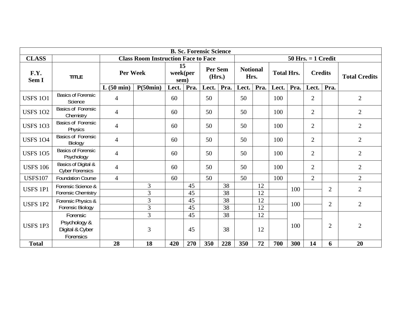|                 | <b>B. Sc. Forensic Science</b>                |                          |                                                                      |                        |      |                          |      |                         |      |                   |      |                |                |                      |
|-----------------|-----------------------------------------------|--------------------------|----------------------------------------------------------------------|------------------------|------|--------------------------|------|-------------------------|------|-------------------|------|----------------|----------------|----------------------|
| <b>CLASS</b>    |                                               |                          | <b>Class Room Instruction Face to Face</b><br>$50$ Hrs. $= 1$ Credit |                        |      |                          |      |                         |      |                   |      |                |                |                      |
| F.Y.<br>Sem I   | <b>TITLE</b>                                  | Per Week                 |                                                                      | 15<br>week(per<br>sem) |      | <b>Per Sem</b><br>(Hrs.) |      | <b>Notional</b><br>Hrs. |      | <b>Total Hrs.</b> |      | <b>Credits</b> |                | <b>Total Credits</b> |
|                 |                                               | L(50 min)                | P(50min)                                                             | Lect.                  | Pra. | Lect.                    | Pra. | Lect.                   | Pra. | Lect.             | Pra. | Lect.          | Pra.           |                      |
| <b>USFS 101</b> | <b>Basics of Forensic</b><br>Science          | $\overline{4}$           |                                                                      | 60                     |      | 50                       |      | 50                      |      | 100               |      | 2              |                | $\overline{2}$       |
| <b>USFS 102</b> | <b>Basics of Forensic</b><br>Chemistry        | $\overline{4}$           |                                                                      | 60                     |      | 50                       |      | 50                      |      | 100               |      | $\overline{2}$ |                | $\overline{2}$       |
| <b>USFS 103</b> | <b>Basics of Forensic</b><br>Physics          | $\overline{\mathcal{A}}$ |                                                                      | 60                     |      | 50                       |      | 50                      |      | 100               |      | $\overline{2}$ |                | $\overline{2}$       |
| <b>USFS 104</b> | <b>Basics of Forensic</b><br>Biology          | 4                        |                                                                      | 60                     |      | 50                       |      | 50                      |      | 100               |      | $\overline{2}$ |                | $\overline{2}$       |
| <b>USFS 105</b> | <b>Basics of Forensic</b><br>Psychology       | $\overline{4}$           |                                                                      | 60                     |      | 50                       |      | 50                      |      | 100               |      | $\overline{2}$ |                | $\overline{2}$       |
| <b>USFS 106</b> | Basics of Digital &<br><b>Cyber Forensics</b> | $\overline{\mathcal{A}}$ |                                                                      | 60                     |      | 50                       |      | 50                      |      | 100               |      | $\overline{2}$ |                | $\overline{2}$       |
| <b>USFS107</b>  | <b>Foundation Course</b>                      | $\overline{4}$           |                                                                      | 60                     |      | 50                       |      | 50                      |      | 100               |      | $\overline{2}$ |                | $\overline{2}$       |
| <b>USFS 1P1</b> | Forensic Science &                            |                          | 3                                                                    |                        | 45   |                          | 38   |                         | 12   |                   | 100  |                | $\overline{2}$ | $\overline{2}$       |
|                 | <b>Forensic Chemistry</b>                     |                          | 3                                                                    |                        | 45   |                          | 38   |                         | 12   |                   |      |                |                |                      |
| <b>USFS 1P2</b> | Forensic Physics &                            |                          | 3                                                                    |                        | 45   |                          | 38   |                         | 12   |                   | 100  |                | $\overline{2}$ | $\overline{2}$       |
|                 | <b>Forensic Biology</b>                       |                          | $\overline{3}$                                                       |                        | 45   |                          | 38   |                         | 12   |                   |      |                |                |                      |
|                 | Forensic                                      |                          | 3                                                                    |                        | 45   |                          | 38   |                         | 12   |                   |      |                |                |                      |
| <b>USFS 1P3</b> | Psychology &<br>Digital & Cyber<br>Forensics  |                          | 3                                                                    |                        | 45   |                          | 38   |                         | 12   |                   | 100  |                | $\overline{2}$ | $\overline{2}$       |
| <b>Total</b>    |                                               | 28                       | 18                                                                   | 420                    | 270  | 350                      | 228  | 350                     | 72   | 700               | 300  | 14             | 6              | 20                   |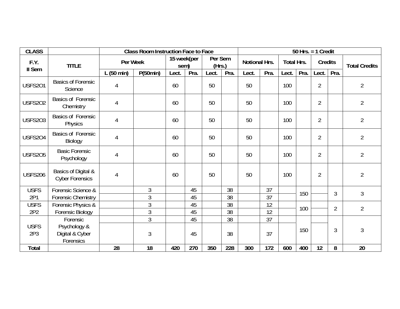| <b>CLASS</b>    |                                               |           | <b>Class Room Instruction Face to Face</b> |                     |      |                   |      | 50 Hrs. $=$ 1 Credit |                 |                   |      |                |                |                      |
|-----------------|-----------------------------------------------|-----------|--------------------------------------------|---------------------|------|-------------------|------|----------------------|-----------------|-------------------|------|----------------|----------------|----------------------|
| F.Y.<br>II Sem  | <b>TITLE</b>                                  | Per Week  |                                            | 15 week(per<br>sem) |      | Per Sem<br>(Hrs.) |      | Notional Hrs.        |                 | <b>Total Hrs.</b> |      | <b>Credits</b> |                | <b>Total Credits</b> |
|                 |                                               | L(50 min) | P(50min)                                   | Lect.               | Pra. | Lect.             | Pra. | Lect.                | Pra.            | Lect.             | Pra. | Lect.          | Pra.           |                      |
| <b>USFS201</b>  | <b>Basics of Forensic</b><br>Science          | 4         |                                            | 60                  |      | 50                |      | 50                   |                 | 100               |      | $\overline{2}$ |                | $\overline{2}$       |
| <b>USFS202</b>  | <b>Basics of Forensic</b><br>Chemistry        | 4         |                                            | 60                  |      | 50                |      | 50                   |                 | 100               |      | $\overline{2}$ |                | $\overline{2}$       |
| <b>USFS203</b>  | <b>Basics of Forensic</b><br>Physics          | 4         |                                            | 60                  |      | 50                |      | 50                   |                 | 100               |      | $\overline{2}$ |                | $\overline{2}$       |
| USFS204         | <b>Basics of Forensic</b><br>Biology          | 4         |                                            | 60                  |      | 50                |      | 50                   |                 | 100               |      | $\overline{2}$ |                | $\overline{2}$       |
| <b>USFS205</b>  | <b>Basic Forensic</b><br>Psychology           | 4         |                                            | 60                  |      | 50                |      | 50                   |                 | 100               |      | $\overline{2}$ |                | $\overline{2}$       |
| <b>USFS206</b>  | Basics of Digital &<br><b>Cyber Forensics</b> | 4         |                                            | 60                  |      | 50                |      | 50                   |                 | 100               |      | $\overline{2}$ |                | $\overline{2}$       |
| <b>USFS</b>     | Forensic Science &                            |           | 3                                          |                     | 45   |                   | 38   |                      | 37              |                   |      |                | 3              | 3                    |
| 2P1             | <b>Forensic Chemistry</b>                     |           | 3                                          |                     | 45   |                   | 38   |                      | $\overline{37}$ |                   | 150  |                |                |                      |
| <b>USFS</b>     | Forensic Physics &                            |           | 3                                          |                     | 45   |                   | 38   |                      | 12              |                   | 100  |                | $\overline{2}$ | $\overline{2}$       |
| 2P2             | Forensic Biology                              |           | $\mathfrak{Z}$                             |                     | 45   |                   | 38   |                      | 12              |                   |      |                |                |                      |
|                 | Forensic                                      |           | 3                                          |                     | 45   |                   | 38   |                      | 37              |                   |      |                |                |                      |
| <b>USFS</b>     | Psychology &                                  |           |                                            |                     |      |                   |      |                      |                 |                   | 150  |                | 3              | $\mathfrak{Z}$       |
| 2P <sub>3</sub> | Digital & Cyber<br>Forensics                  |           | 3                                          |                     | 45   |                   | 38   |                      | 37              |                   |      |                |                |                      |
| Total           |                                               | 28        | 18                                         | 420                 | 270  | 350               | 228  | 300                  | 172             | 600               | 400  | 12             | 8              | 20                   |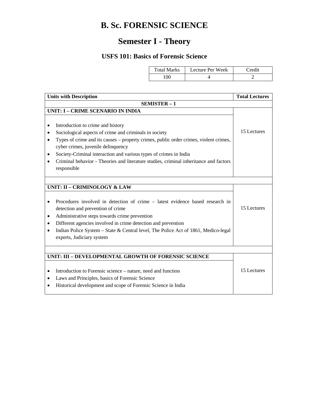# **B. Sc. FORENSIC SCIENCE**

# **Semester I - Theory**

## **USFS 101: Basics of Forensic Science**

| <b>Total Marks</b> | Lecture Per Week | Credit |
|--------------------|------------------|--------|
| 90 <sup>°</sup>    |                  |        |

| <b>Units with Description</b>                                                                                                                                                                                                                                                                                                                                                                                | <b>Total Lectures</b> |
|--------------------------------------------------------------------------------------------------------------------------------------------------------------------------------------------------------------------------------------------------------------------------------------------------------------------------------------------------------------------------------------------------------------|-----------------------|
| SEMISTER-1                                                                                                                                                                                                                                                                                                                                                                                                   |                       |
| <b>UNIT: I - CRIME SCENARIO IN INDIA</b>                                                                                                                                                                                                                                                                                                                                                                     |                       |
| Introduction to crime and history<br>Sociological aspects of crime and criminals in society<br>Types of crime and its causes – property crimes, public order crimes, violent crimes,<br>٠<br>cyber crimes, juvenile delinquency<br>Society-Criminal interaction and various types of crimes in India<br>Criminal behavior - Theories and literature studies, criminal inheritance and factors<br>responsible | 15 Lectures           |
|                                                                                                                                                                                                                                                                                                                                                                                                              |                       |
| <b>UNIT: II - CRIMINOLOGY &amp; LAW</b>                                                                                                                                                                                                                                                                                                                                                                      |                       |
| Procedures involved in detection of crime – latest evidence based research in<br>detection and prevention of crime<br>Administrative steps towards crime prevention<br>Different agencies involved in crime detection and prevention<br>Indian Police System - State & Central level, The Police Act of 1861, Medico-legal<br>٠<br>experts, Judiciary system                                                 | 15 Lectures           |
|                                                                                                                                                                                                                                                                                                                                                                                                              |                       |
|                                                                                                                                                                                                                                                                                                                                                                                                              |                       |
| UNIT: III - DEVELOPMENTAL GROWTH OF FORENSIC SCIENCE<br>Introduction to Forensic science – nature, need and function<br>٠<br>Laws and Principles, basics of Forensic Science<br>Historical development and scope of Forensic Science in India                                                                                                                                                                | 15 Lectures           |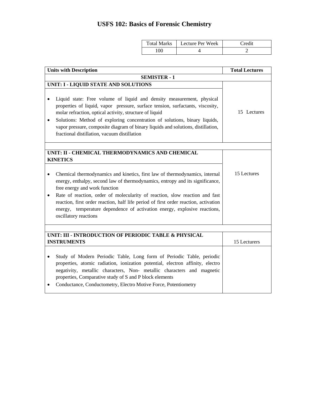# **USFS 102: Basics of Forensic Chemistry**

| <b>Total Marks</b> | Lecture Per Week | Credit |
|--------------------|------------------|--------|
| 90                 |                  |        |

| <b>Units with Description</b>                                                                                                                                                                                                                                                                                                                                                                                                                                                                                           | <b>Total Lectures</b> |
|-------------------------------------------------------------------------------------------------------------------------------------------------------------------------------------------------------------------------------------------------------------------------------------------------------------------------------------------------------------------------------------------------------------------------------------------------------------------------------------------------------------------------|-----------------------|
| <b>SEMISTER - 1</b>                                                                                                                                                                                                                                                                                                                                                                                                                                                                                                     |                       |
| UNIT: I - LIQUID STATE AND SOLUTIONS<br>Liquid state: Free volume of liquid and density measurement, physical<br>properties of liquid, vapor pressure, surface tension, surfactants, viscosity,<br>molar refraction, optical activity, structure of liquid<br>Solutions: Method of exploring concentration of solutions, binary liquids,<br>٠<br>vapor pressure, composite diagram of binary liquids and solutions, distillation,<br>fractional distillation, vacuum distillation                                       | 15 Lectures           |
| UNIT: II - CHEMICAL THERMODYNAMICS AND CHEMICAL                                                                                                                                                                                                                                                                                                                                                                                                                                                                         |                       |
| <b>KINETICS</b><br>Chemical thermodynamics and kinetics, first law of thermodynamics, internal<br>$\bullet$<br>energy, enthalpy, second law of thermodynamics, entropy and its significance,<br>free energy and work function<br>Rate of reaction, order of molecularity of reaction, slow reaction and fast<br>$\bullet$<br>reaction, first order reaction, half life period of first order reaction, activation<br>energy, temperature dependence of activation energy, explosive reactions,<br>oscillatory reactions | 15 Lectures           |
|                                                                                                                                                                                                                                                                                                                                                                                                                                                                                                                         |                       |
| UNIT: III - INTRODUCTION OF PERIODIC TABLE & PHYSICAL<br><b>INSTRUMENTS</b>                                                                                                                                                                                                                                                                                                                                                                                                                                             | 15 Lecturers          |
| Study of Modern Periodic Table, Long form of Periodic Table, periodic<br>$\bullet$<br>properties, atomic radiation, ionization potential, electron affinity, electro<br>negativity, metallic characters, Non- metallic characters and magnetic<br>properties, Comparative study of S and P block elements<br>Conductance, Conductometry, Electro Motive Force, Potentiometry<br>٠                                                                                                                                       |                       |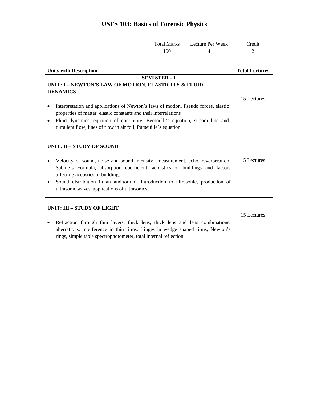# **USFS 103: Basics of Forensic Physics**

| <b>Total Marks</b> | Lecture Per Week | Credit |
|--------------------|------------------|--------|
| 00                 |                  |        |

| <b>Units with Description</b>                                                                                                                                                                                                                                                                                                                      | <b>Total Lectures</b> |
|----------------------------------------------------------------------------------------------------------------------------------------------------------------------------------------------------------------------------------------------------------------------------------------------------------------------------------------------------|-----------------------|
| <b>SEMISTER - 1</b>                                                                                                                                                                                                                                                                                                                                |                       |
| UNIT: I - NEWTON'S LAW OF MOTION, ELASTICITY & FLUID<br><b>DYNAMICS</b>                                                                                                                                                                                                                                                                            |                       |
| Interpretation and applications of Newton's laws of motion, Pseudo forces, elastic<br>properties of matter, elastic constants and their interrelations<br>Fluid dynamics, equation of continuity, Bernoulli's equation, stream line and<br>٠<br>turbulent flow, lines of flow in air foil, Purseuille's equation                                   | 15 Lectures           |
| <b>UNIT: II - STUDY OF SOUND</b>                                                                                                                                                                                                                                                                                                                   |                       |
| Velocity of sound, noise and sound intensity measurement, echo, reverberation,<br>Sabine's Formula, absorption coefficient, acoustics of buildings and factors<br>affecting acoustics of buildings<br>Sound distribution in an auditorium, introduction to ultrasonic, production of<br>$\bullet$<br>ultrasonic waves, applications of ultrasonics | 15 Lectures           |
|                                                                                                                                                                                                                                                                                                                                                    |                       |
| <b>UNIT: III - STUDY OF LIGHT</b><br>Refraction through thin layers, thick lens, thick lens and lens combinations,<br>٠<br>aberrations, interference in thin films, fringes in wedge shaped films, Newton's<br>rings, simple table spectrophotometer, total internal reflection.                                                                   | 15 Lectures           |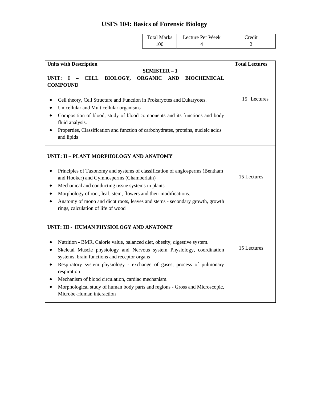# **USFS 104: Basics of Forensic Biology**

| <b>STORY</b><br>`otal<br>Marks<br>$\cdots$ | ecture Per Week | `redit<br>____ |
|--------------------------------------------|-----------------|----------------|
| 100                                        |                 |                |

| <b>Units with Description</b>                                                                                                                                                                                                                                                                                                                                                                                                                                                                                                                                                 | <b>Total Lectures</b> |
|-------------------------------------------------------------------------------------------------------------------------------------------------------------------------------------------------------------------------------------------------------------------------------------------------------------------------------------------------------------------------------------------------------------------------------------------------------------------------------------------------------------------------------------------------------------------------------|-----------------------|
| SEMISTER-1                                                                                                                                                                                                                                                                                                                                                                                                                                                                                                                                                                    |                       |
| CELL BIOLOGY, ORGANIC AND<br>UNIT: $I -$<br><b>BIOCHEMICAL</b><br><b>COMPOUND</b>                                                                                                                                                                                                                                                                                                                                                                                                                                                                                             |                       |
| Cell theory, Cell Structure and Function in Prokaryotes and Eukaryotes.<br>$\bullet$<br>Unicellular and Multicellular organisms<br>$\bullet$<br>Composition of blood, study of blood components and its functions and body<br>fluid analysis.<br>Properties, Classification and function of carbohydrates, proteins, nucleic acids<br>and lipids                                                                                                                                                                                                                              | 15 Lectures           |
|                                                                                                                                                                                                                                                                                                                                                                                                                                                                                                                                                                               |                       |
| UNIT: II - PLANT MORPHOLOGY AND ANATOMY<br>Principles of Taxonomy and systems of classification of angiosperms (Bentham<br>$\bullet$<br>and Hooker) and Gymnosperms (Chamberlain)<br>Mechanical and conducting tissue systems in plants<br>٠<br>Morphology of root, leaf, stem, flowers and their modifications.<br>Anatomy of mono and dicot roots, leaves and stems - secondary growth, growth<br>rings, calculation of life of wood                                                                                                                                        | 15 Lectures           |
|                                                                                                                                                                                                                                                                                                                                                                                                                                                                                                                                                                               |                       |
| UNIT: III - HUMAN PHYSIOLOGY AND ANATOMY<br>Nutrition - BMR, Calorie value, balanced diet, obesity, digestive system.<br>$\bullet$<br>Skeletal Muscle physiology and Nervous system Physiology, coordination<br>$\bullet$<br>systems, brain functions and receptor organs<br>Respiratory system physiology - exchange of gases, process of pulmonary<br>$\bullet$<br>respiration<br>Mechanism of blood circulation, cardiac mechanism.<br>$\bullet$<br>Morphological study of human body parts and regions - Gross and Microscopic,<br>$\bullet$<br>Microbe-Human interaction | 15 Lectures           |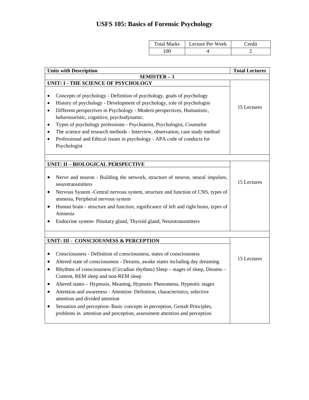# **USFS 105: Basics of Forensic Psychology**

| Total Marks | Lecture Per Week | Credit |
|-------------|------------------|--------|
| 100         |                  | ∸      |

| <b>Units with Description</b>                                                                                                                                                                                                                                                                                                                                                                                                                                                                                                                                                                                                                                                                                                                                   | <b>Total Lectures</b> |
|-----------------------------------------------------------------------------------------------------------------------------------------------------------------------------------------------------------------------------------------------------------------------------------------------------------------------------------------------------------------------------------------------------------------------------------------------------------------------------------------------------------------------------------------------------------------------------------------------------------------------------------------------------------------------------------------------------------------------------------------------------------------|-----------------------|
| <b>SEMISTER-1</b>                                                                                                                                                                                                                                                                                                                                                                                                                                                                                                                                                                                                                                                                                                                                               |                       |
| UNIT: I - THE SCIENCE OF PSYCHOLOGY                                                                                                                                                                                                                                                                                                                                                                                                                                                                                                                                                                                                                                                                                                                             |                       |
| Concepts of psychology - Definition of psychology, goals of psychology<br>$\bullet$<br>History of psychology - Development of psychology, role of psychologist<br>٠<br>Different perspectives in Psychology - Modern perspectives, Humanistic,<br>$\bullet$<br>behaviouristic, cognitive, psychodynamic.<br>Types of psychology professions - Psychiatrist, Psychologist, Counselor<br>٠<br>The science and research methods - Interview, observation, case study method<br>Professional and Ethical issues in psychology - APA code of conducts for<br>Psychologist                                                                                                                                                                                            | 15 Lectures           |
|                                                                                                                                                                                                                                                                                                                                                                                                                                                                                                                                                                                                                                                                                                                                                                 |                       |
| UNIT: II - BIOLOGICAL PERSPECTIVE<br>Nerve and neuron - Building the network, structure of neuron, neural impulses,<br>$\bullet$<br>neurotransmitters<br>Nervous System -Central nervous system, structure and function of CNS, types of<br>$\bullet$<br>amnesia, Peripheral nervous system<br>Human brain - structure and function, significance of left and right brain, types of<br>Amnesia<br>Endocrine system- Pituitary gland, Thyroid gland, Neurotransmitters<br>٠                                                                                                                                                                                                                                                                                      | 15 Lectures           |
| UNIT: III - CONSCIOUSNESS & PERCEPTION<br>Consciousness - Definition of consciousness, states of consciousness<br>$\bullet$<br>Altered state of consciousness - Dreams, awake states including day dreaming<br>$\bullet$<br>Rhythms of consciousness (Circadian rhythms) Sleep – stages of sleep, Dreams –<br>$\bullet$<br>Content, REM sleep and non-REM sleep<br>Altered states - Hypnosis, Meaning, Hypnotic Phenomena, Hypnotic stages<br>$\bullet$<br>Attention and awareness - Attention: Definition, characteristics, selective<br>$\bullet$<br>attention and divided attention<br>Sensation and perception- Basic concepts in perception, Gestalt Principles,<br>$\bullet$<br>problems in attention and perception, assessment attention and perception | 15 Lectures           |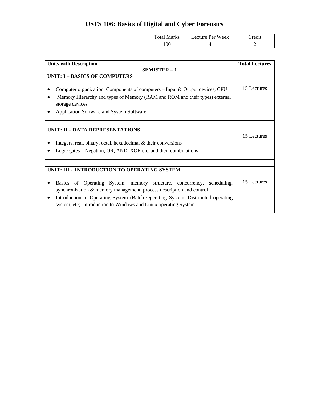# **USFS 106: Basics of Digital and Cyber Forensics**

| <b>Total Marks</b> | Lecture Per Week | Credit |
|--------------------|------------------|--------|
| 100                |                  | -      |

| <b>Units with Description</b>                                                                                                                                                                                                                                                                                        | <b>Total Lectures</b> |
|----------------------------------------------------------------------------------------------------------------------------------------------------------------------------------------------------------------------------------------------------------------------------------------------------------------------|-----------------------|
| <b>SEMISTER - 1</b>                                                                                                                                                                                                                                                                                                  |                       |
| <b>UNIT: I - BASICS OF COMPUTERS</b>                                                                                                                                                                                                                                                                                 |                       |
| Computer organization, Components of computers $-$ Input & Output devices, CPU<br>Memory Hierarchy and types of Memory (RAM and ROM and their types) external<br>storage devices<br>Application Software and System Software                                                                                         | 15 Lectures           |
|                                                                                                                                                                                                                                                                                                                      |                       |
| <b>UNIT: II - DATA REPRESENTATIONS</b>                                                                                                                                                                                                                                                                               |                       |
|                                                                                                                                                                                                                                                                                                                      | 15 Lectures           |
| Integers, real, binary, octal, hexadecimal $\&$ their conversions                                                                                                                                                                                                                                                    |                       |
| Logic gates – Negation, OR, AND, XOR etc. and their combinations                                                                                                                                                                                                                                                     |                       |
|                                                                                                                                                                                                                                                                                                                      |                       |
| UNIT: III - INTRODUCTION TO OPERATING SYSTEM                                                                                                                                                                                                                                                                         |                       |
| Operating System, memory structure, concurrency,<br>scheduling,<br><b>Basics</b><br>of<br>synchronization & memory management, process description and control<br>Introduction to Operating System (Batch Operating System, Distributed operating<br>system, etc) Introduction to Windows and Linux operating System | 15 Lectures           |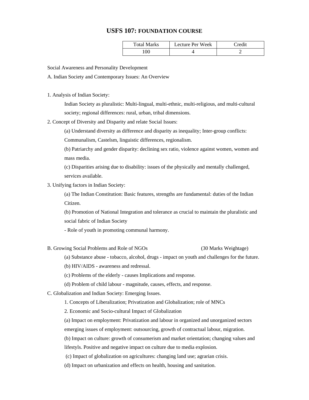### **USFS 107: FOUNDATION COURSE**

| <b>Total Marks</b> | Lecture Per Week | Credit |
|--------------------|------------------|--------|
| .00                |                  |        |

Social Awareness and Personality Development

A. Indian Society and Contemporary Issues: An Overview

1. Analysis of Indian Society:

Indian Society as pluralistic: Multi-lingual, multi-ethnic, multi-religious, and multi-cultural society; regional differences: rural, urban, tribal dimensions.

2. Concept of Diversity and Disparity and relate Social Issues:

(a) Understand diversity as difference and disparity as inequality; Inter-group conflicts:

Communalism, Castelsm, linguistic differences, regionalism.

(b) Patriarchy and gender disparity: declining sex ratio, violence against women, women and mass media.

(c) Disparities arising due to disability: issues of the physically and mentally challenged, services available.

3. Unifying factors in Indian Society:

(a) The Indian Constitution: Basic features, strengths are fundamental: duties of the Indian Citizen.

(b) Promotion of National Integration and tolerance as crucial to maintain the pluralistic and social fabric of Indian Society

- Role of youth in promoting communal harmony.
- B. Growing Social Problems and Role of NGOs (30 Marks Weightage)

(a) Substance abuse - tobacco, alcohol, drugs - impact on youth and challenges for the future.

- (b) HIV/AIDS awareness and redressal.
- (c) Problems of the elderly causes Implications and response.
- (d) Problem of child labour magnitude, causes, effects, and response.
- C. Globalization and Indian Society: Emerging Issues.

1. Concepts of Liberalization; Privatization and Globalization; role of MNCs

2. Economic and Socio-cultural Impact of Globalization

(a) Impact on employment: Privatization and labour in organized and unorganized sectors

emerging issues of employment: outsourcing, growth of contractual labour, migration.

(b) Impact on culture: growth of consumerism and market orientation; changing values and

lifestyls. Positive and negative impact on culture due to media explosion.

(c) Impact of globalization on agricultures: changing land use; agrarian crisis.

(d) Impact on urbanization and effects on health, housing and sanitation.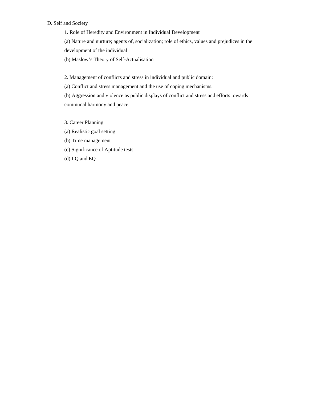### D. Self and Society

1. Role of Heredity and Environment in Individual Development

(a) Nature and nurture; agents of, socialization; role of ethics, values and prejudices in the

development of the individual

(b) Maslow's Theory of Self-Actualisation

2. Management of conflicts and stress in individual and public domain:

(a) Conflict and stress management and the use of coping mechanisms.

(b) Aggression and violence as public displays of conflict and stress and efforts towards communal harmony and peace.

- 3. Career Planning
- (a) Realistic goal setting
- (b) Time management
- (c) Significance of Aptitude tests

(d) I Q and EQ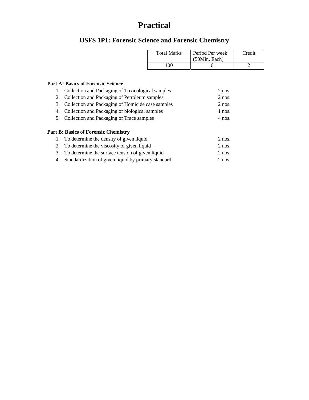# **Practical**

# **USFS 1P1: Forensic Science and Forensic Chemistry**

| <b>Total Marks</b> | Period Per week<br>(50Min. Each) | Credit |
|--------------------|----------------------------------|--------|
| 100                |                                  |        |

### **Part A: Basics of Forensic Science**

| Collection and Packaging of Toxicological samples   | $2$ nos.                                                                                                                                                                                                                          |
|-----------------------------------------------------|-----------------------------------------------------------------------------------------------------------------------------------------------------------------------------------------------------------------------------------|
| Collection and Packaging of Petroleum samples       | $2$ nos.                                                                                                                                                                                                                          |
| Collection and Packaging of Homicide case samples   | $2$ nos.                                                                                                                                                                                                                          |
| Collection and Packaging of biological samples      | 1 nos.                                                                                                                                                                                                                            |
|                                                     | $4$ nos.                                                                                                                                                                                                                          |
|                                                     |                                                                                                                                                                                                                                   |
|                                                     |                                                                                                                                                                                                                                   |
| To determine the density of given liquid            | $2$ nos.                                                                                                                                                                                                                          |
|                                                     | $2$ nos.                                                                                                                                                                                                                          |
|                                                     | $2$ nos.                                                                                                                                                                                                                          |
| Standardization of given liquid by primary standard | $2$ nos.                                                                                                                                                                                                                          |
|                                                     | 2.<br>3.<br>4.<br>5. Collection and Packaging of Trace samples<br><b>Part B: Basics of Forensic Chemistry</b><br>1.<br>2. To determine the viscosity of given liquid<br>3. To determine the surface tension of given liquid<br>4. |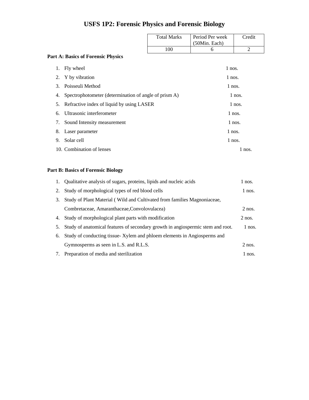# **USFS 1P2: Forensic Physics and Forensic Biology**

| <b>Total Marks</b> | Period Per week<br>(50Min. Each) | Credit |
|--------------------|----------------------------------|--------|
| 100                |                                  |        |

### **Part A: Basics of Forensic Physics**

| 1. | Fly wheel                                             | 1 nos.   |
|----|-------------------------------------------------------|----------|
| 2. | Y by vibration                                        | $1$ nos. |
| 3. | Poisseuli Method                                      | $1$ nos. |
| 4. | Spectrophotometer (determination of angle of prism A) | $1$ nos. |
|    | 5. Refractive index of liquid by using LASER          | $1$ nos. |
|    | 6. Ultrasonic interferometer                          | $1$ nos. |
|    | 7. Sound Intensity measurement                        | $1$ nos. |
|    | 8. Laser parameter                                    | 1 nos.   |
| 9. | Solar cell                                            | $1$ nos. |
|    | 10. Combination of lenses                             | $1$ nos. |

### **Part B: Basics of Forensic Biology**

|    | 1. Qualitative analysis of sugars, proteins, lipids and nucleic acids           | 1 nos.   |
|----|---------------------------------------------------------------------------------|----------|
| 2. | Study of morphological types of red blood cells                                 | $1$ nos. |
| 3. | Study of Plant Material (Wild and Cultivated from families Magnoniaceae,        |          |
|    | Combretaceae, Amaranthaceae, Convolovulacea)                                    | $2$ nos. |
| 4. | Study of morphological plant parts with modification                            | $2$ nos. |
| 5. | Study of anatomical features of secondary growth in angiospermic stem and root. | 1 nos.   |
| 6. | Study of conducting tissue-Xylem and phloem elements in Angiosperms and         |          |
|    | Gymnosperms as seen in L.S. and R.L.S.                                          | $2$ nos. |
| 7. | Preparation of media and sterilization                                          | 1 nos.   |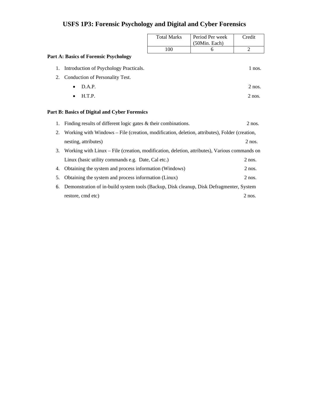|    |                                                                                               | <b>Total Marks</b> | Period Per week<br>(50Min. Each) | Credit         |
|----|-----------------------------------------------------------------------------------------------|--------------------|----------------------------------|----------------|
|    |                                                                                               | 100                | 6                                | $\overline{2}$ |
|    | <b>Part A: Basics of Forensic Psychology</b>                                                  |                    |                                  |                |
| 1. | Introduction of Psychology Practicals.                                                        |                    |                                  | $1$ nos.       |
| 2. | Conduction of Personality Test.                                                               |                    |                                  |                |
|    | D.A.P.<br>$\bullet$                                                                           |                    |                                  | $2$ nos.       |
|    | H.T.P.<br>$\bullet$                                                                           |                    |                                  | $2$ nos.       |
|    | Part B: Basics of Digital and Cyber Forensics                                                 |                    |                                  |                |
| 1. | Finding results of different logic gates $\&$ their combinations.                             |                    |                                  | $2$ nos.       |
| 2. | Working with Windows – File (creation, modification, deletion, attributes), Folder (creation, |                    |                                  |                |
|    | nesting, attributes)                                                                          |                    |                                  | $2$ nos.       |
| 3. | Working with Linux – File (creation, modification, deletion, attributes), Various commands on |                    |                                  |                |
|    | Linux (basic utility commands e.g. Date, Cal etc.)                                            |                    |                                  | $2$ nos.       |

4. Obtaining the system and process information (Windows) 2 nos. 5. Obtaining the system and process information (Linux) 2 nos. 6. Demonstration of in-build system tools (Backup, Disk cleanup, Disk Defragmenter, System restore, cmd etc) 2 nos.

### **USFS 1P3: Forensic Psychology and Digital and Cyber Forensics**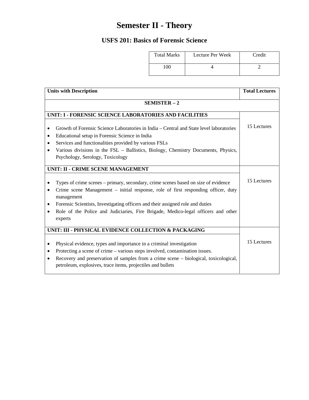# **Semester II - Theory**

# **USFS 201: Basics of Forensic Science**

| <b>Total Marks</b> | Lecture Per Week | Credit |
|--------------------|------------------|--------|
|                    |                  |        |

| <b>Units with Description</b>                                                                                                                                                                                                                                                                                                                                                                          | <b>Total Lectures</b> |
|--------------------------------------------------------------------------------------------------------------------------------------------------------------------------------------------------------------------------------------------------------------------------------------------------------------------------------------------------------------------------------------------------------|-----------------------|
| SEMISTER-2                                                                                                                                                                                                                                                                                                                                                                                             |                       |
| UNIT: I - FORENSIC SCIENCE LABORATORIES AND FACILITIES                                                                                                                                                                                                                                                                                                                                                 |                       |
| Growth of Forensic Science Laboratories in India – Central and State level laboratories<br>$\bullet$<br>Educational setup in Forensic Science in India<br>$\bullet$<br>Services and functionalities provided by various FSLs<br>$\bullet$<br>Various divisions in the FSL – Ballistics, Biology, Chemistry Documents, Physics,<br>٠                                                                    | 15 Lectures           |
| Psychology, Serology, Toxicology                                                                                                                                                                                                                                                                                                                                                                       |                       |
| UNIT: II - CRIME SCENE MANAGEMENT                                                                                                                                                                                                                                                                                                                                                                      |                       |
| Types of crime scenes – primary, secondary, crime scenes based on size of evidence<br>$\bullet$<br>Crime scene Management - initial response, role of first responding officer, duty<br>$\bullet$<br>management<br>Forensic Scientists, Investigating officers and their assigned role and duties<br>٠<br>Role of the Police and Judiciaries, Fire Brigade, Medico-legal officers and other<br>experts | 15 Lectures           |
| UNIT: III - PHYSICAL EVIDENCE COLLECTION & PACKAGING                                                                                                                                                                                                                                                                                                                                                   |                       |
| Physical evidence, types and importance in a criminal investigation<br>٠<br>Protecting a scene of crime – various steps involved, contamination issues.<br>٠<br>Recovery and preservation of samples from a crime scene – biological, toxicological,<br>$\bullet$<br>petroleum, explosives, trace items, projectiles and bullets                                                                       | 15 Lectures           |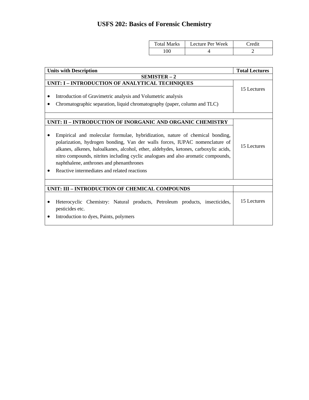# **USFS 202: Basics of Forensic Chemistry**

 $\overline{\phantom{a}}$ 

| <b>Total Marks</b> | Lecture Per Week | Credit |
|--------------------|------------------|--------|
| $\alpha$           |                  |        |

| <b>Units with Description</b>                                                                                                                                                                                                                                                                                                                                                                                                                                                                      | <b>Total Lectures</b> |  |
|----------------------------------------------------------------------------------------------------------------------------------------------------------------------------------------------------------------------------------------------------------------------------------------------------------------------------------------------------------------------------------------------------------------------------------------------------------------------------------------------------|-----------------------|--|
| $SEMISTER-2$                                                                                                                                                                                                                                                                                                                                                                                                                                                                                       |                       |  |
| UNIT: I - INTRODUCTION OF ANALYTICAL TECHNIQUES<br>Introduction of Gravimetric analysis and Volumetric analysis<br>Chromatographic separation, liquid chromatography (paper, column and TLC)                                                                                                                                                                                                                                                                                                       | 15 Lectures           |  |
|                                                                                                                                                                                                                                                                                                                                                                                                                                                                                                    |                       |  |
| UNIT: II - INTRODUCTION OF INORGANIC AND ORGANIC CHEMISTRY<br>Empirical and molecular formulae, hybridization, nature of chemical bonding,<br>polarization, hydrogen bonding, Van der walls forces, IUPAC nomenclature of<br>alkanes, alkenes, haloalkanes, alcohol, ether, aldehydes, ketones, carboxylic acids,<br>nitro compounds, nitrites including cyclic analogues and also aromatic compounds,<br>naphthalene, anthrones and phenanthrones<br>Reactive intermediates and related reactions | 15 Lectures           |  |
|                                                                                                                                                                                                                                                                                                                                                                                                                                                                                                    |                       |  |
| UNIT: III - INTRODUCTION OF CHEMICAL COMPOUNDS<br>Heterocyclic Chemistry: Natural products, Petroleum products, insecticides,<br>pesticides etc.<br>Introduction to dyes, Paints, polymers                                                                                                                                                                                                                                                                                                         | 15 Lectures           |  |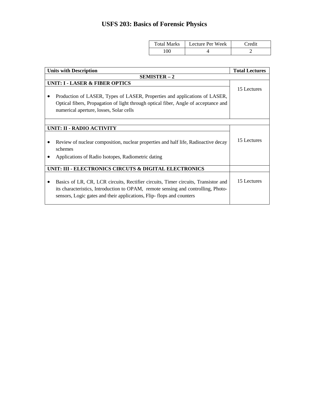# **USFS 203: Basics of Forensic Physics**

| <b>Total Marks</b> | Lecture Per Week | Credit |
|--------------------|------------------|--------|
| 00                 |                  |        |

| <b>Units with Description</b>                                                                                                                                                                                                                   | <b>Total Lectures</b> |  |
|-------------------------------------------------------------------------------------------------------------------------------------------------------------------------------------------------------------------------------------------------|-----------------------|--|
| <b>SEMISTER - 2</b>                                                                                                                                                                                                                             |                       |  |
| <b>UNIT: I - LASER &amp; FIBER OPTICS</b>                                                                                                                                                                                                       |                       |  |
| Production of LASER, Types of LASER, Properties and applications of LASER,<br>Optical fibers, Propagation of light through optical fiber, Angle of acceptance and<br>numerical aperture, losses, Solar cells                                    | 15 Lectures           |  |
|                                                                                                                                                                                                                                                 |                       |  |
| UNIT: II - RADIO ACTIVITY                                                                                                                                                                                                                       |                       |  |
| Review of nuclear composition, nuclear properties and half life, Radioactive decay<br>schemes                                                                                                                                                   | 15 Lectures           |  |
| Applications of Radio Isotopes, Radiometric dating                                                                                                                                                                                              |                       |  |
| UNIT: III - ELECTRONICS CIRCUTS & DIGITAL ELECTRONICS                                                                                                                                                                                           |                       |  |
| Basics of LR, CR, LCR circuits, Rectifier circuits, Timer circuits, Transistor and<br>its characteristics, Introduction to OPAM, remote sensing and controlling, Photo-<br>sensors, Logic gates and their applications, Flip-flops and counters | 15 Lectures           |  |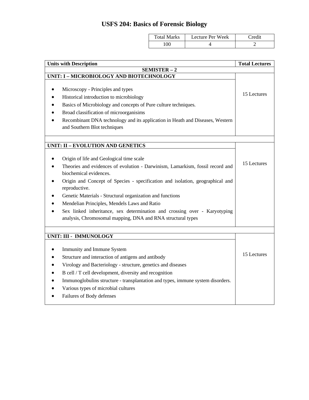# **USFS 204: Basics of Forensic Biology**

| Total Marks | Lecture Per Week | redit_ |
|-------------|------------------|--------|
| 100         |                  | . .    |

| <b>Units with Description</b>                                                                  | <b>Total Lectures</b> |
|------------------------------------------------------------------------------------------------|-----------------------|
| SEMISTER-2                                                                                     |                       |
| UNIT: I - MICROBIOLOGY AND BIOTECHNOLOGY                                                       |                       |
| Microscopy - Principles and types                                                              |                       |
| Historical introduction to microbiology                                                        | 15 Lectures           |
| Basics of Microbiology and concepts of Pure culture techniques.                                |                       |
| Broad classification of microorganisims                                                        |                       |
| Recombinant DNA technology and its application in Heath and Diseases, Western                  |                       |
| and Southern Blot techniques                                                                   |                       |
|                                                                                                |                       |
| UNIT: II - EVOLUTION AND GENETICS                                                              |                       |
| Origin of life and Geological time scale                                                       |                       |
| Theories and evidences of evolution - Darwinism, Lamarkism, fossil record and                  | 15 Lectures           |
| biochemical evidences.                                                                         |                       |
| Origin and Concept of Species - specification and isolation, geographical and<br>reproductive. |                       |
| Genetic Materials - Structural organization and functions                                      |                       |
| Mendelian Principles, Mendels Laws and Ratio                                                   |                       |
| Sex linked inheritance, sex determination and crossing over - Karyotyping                      |                       |
| analysis, Chromosomal mapping, DNA and RNA structural types                                    |                       |
|                                                                                                |                       |
| UNIT: III - IMMUNOLOGY                                                                         |                       |
| Immunity and Immune System                                                                     |                       |
| Structure and interaction of antigens and antibody                                             | 15 Lectures           |
| Virology and Bacteriology - structure, genetics and diseases                                   |                       |
| B cell / T cell development, diversity and recognition                                         |                       |
| Immunoglobulins structure - transplantation and types, immune system disorders.                |                       |
| Various types of microbial cultures                                                            |                       |
| Failures of Body defenses                                                                      |                       |
|                                                                                                |                       |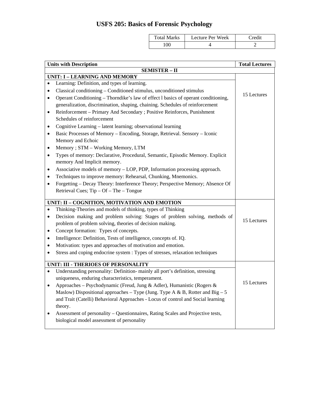# **USFS 205: Basics of Forensic Psychology**

| Total Marks | Lecture Per Week | Credit |
|-------------|------------------|--------|
| 100         |                  |        |

| <b>Units with Description</b>                                                                                                                           | <b>Total Lectures</b> |
|---------------------------------------------------------------------------------------------------------------------------------------------------------|-----------------------|
| <b>SEMISTER - II</b>                                                                                                                                    |                       |
| <b>UNIT: I - LEARNING AND MEMORY</b>                                                                                                                    |                       |
| Learning: Definition, and types of learning.                                                                                                            |                       |
| Classical conditioning - Conditioned stimulus, unconditioned stimulus<br>٠                                                                              | 15 Lectures           |
| Operant Conditioning – Thorndike's law of effect l basics of operant conditioning,<br>$\bullet$                                                         |                       |
| generalization, discrimination, shaping, chaining. Schedules of reinforcement                                                                           |                       |
| Reinforcement - Primary And Secondary ; Positive Reinforces, Punishment<br>٠                                                                            |                       |
| Schedules of reinforcement                                                                                                                              |                       |
| Cognitive Learning - latent learning; observational learning<br>$\bullet$                                                                               |                       |
| Basic Processes of Memory – Encoding, Storage, Retrieval. Sensory – Iconic<br>$\bullet$                                                                 |                       |
| Memory and Echoic                                                                                                                                       |                       |
| Memory ; STM - Working Memory, LTM<br>$\bullet$                                                                                                         |                       |
| Types of memory: Declarative, Procedural, Semantic, Episodic Memory. Explicit<br>$\bullet$                                                              |                       |
| memory And Implicit memory.                                                                                                                             |                       |
| Associative models of memory – LOP, PDP, Information processing approach.<br>$\bullet$                                                                  |                       |
| Techniques to improve memory: Rehearsal, Chunking, Mnemonics.                                                                                           |                       |
| Forgetting - Decay Theory: Interference Theory; Perspective Memory; Absence Of                                                                          |                       |
| Retrieval Cues; $Tip - Of - The - Tongue$                                                                                                               |                       |
|                                                                                                                                                         |                       |
| UNIT: II - COGNITION, MOTIVATION AND EMOTION                                                                                                            |                       |
| Thinking-Theories and models of thinking, types of Thinking<br>$\bullet$                                                                                |                       |
| Decision making and problem solving: Stages of problem solving, methods of<br>$\bullet$                                                                 | 15 Lectures           |
| problem of problem solving, theories of decision making.                                                                                                |                       |
| Concept formation: Types of concepts.<br>$\bullet$                                                                                                      |                       |
| Intelligence: Definition, Tests of intelligence, concepts of. IQ.<br>٠                                                                                  |                       |
| Motivation: types and approaches of motivation and emotion.                                                                                             |                       |
| Stress and coping endocrine system : Types of stresses, relaxation techniques                                                                           |                       |
| UNIT: III - THERIOES OF PERSONALITY                                                                                                                     |                       |
| Understanding personality: Definition- mainly all port's definition, stressing                                                                          |                       |
| uniqueness, enduring characteristics, temperament.                                                                                                      |                       |
|                                                                                                                                                         | 15 Lectures           |
| Approaches - Psychodynamic (Freud, Jung & Adler), Humanistic (Rogers &<br>Maslow) Dispositional approaches – Type (Jung. Type A & B, Rotter and Big – 5 |                       |
| and Trait (Catelli) Behavioral Approaches - Locus of control and Social learning                                                                        |                       |
| theory.                                                                                                                                                 |                       |
| Assessment of personality - Questionnaires, Rating Scales and Projective tests,                                                                         |                       |
| biological model assessment of personality                                                                                                              |                       |
|                                                                                                                                                         |                       |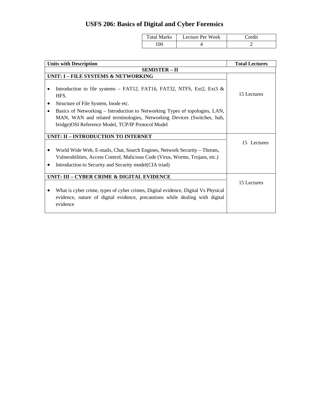# **USFS 206: Basics of Digital and Cyber Forensics**

| <b>Total Marks</b> | Lecture Per Week | Credit |
|--------------------|------------------|--------|
| $00^{\circ}$       |                  |        |

| <b>Units with Description</b>                                                                                                                                                                                                                                                                                                            | <b>Total Lectures</b> |
|------------------------------------------------------------------------------------------------------------------------------------------------------------------------------------------------------------------------------------------------------------------------------------------------------------------------------------------|-----------------------|
| <b>SEMISTER - II</b>                                                                                                                                                                                                                                                                                                                     |                       |
| UNIT: I - FILE SYSTEMS & NETWORKING                                                                                                                                                                                                                                                                                                      |                       |
| Introduction to file systems – FAT12, FAT16, FAT32, NTFS, Ext2, Ext3 $\&$<br>HFS.<br>Structure of File System, Inode etc.<br>Basics of Networking – Introduction to Networking Types of topologies, LAN,<br>MAN, WAN and related terminologies, Networking Devices (Switches, hub,<br>bridge) OSI Reference Model, TCP/IP Protocol Model | 15 Lectures           |
| UNIT: II - INTRODUCTION TO INTERNET                                                                                                                                                                                                                                                                                                      |                       |
|                                                                                                                                                                                                                                                                                                                                          | 15 Lectures           |
| World Wide Web, E-mails, Chat, Search Engines, Network Security – Threats,                                                                                                                                                                                                                                                               |                       |
| Vulnerabilities, Access Control, Malicious Code (Virus, Worms, Trojans, etc.)                                                                                                                                                                                                                                                            |                       |
| Introduction to Security and Security model (CIA triad)                                                                                                                                                                                                                                                                                  |                       |
| UNIT: III - CYBER CRIME & DIGITAL EVIDENCE                                                                                                                                                                                                                                                                                               |                       |
| What is cyber crime, types of cyber crimes, Digital evidence, Digital Vs Physical<br>evidence, nature of digital evidence, precautions while dealing with digital<br>evidence                                                                                                                                                            | 15 Lectures           |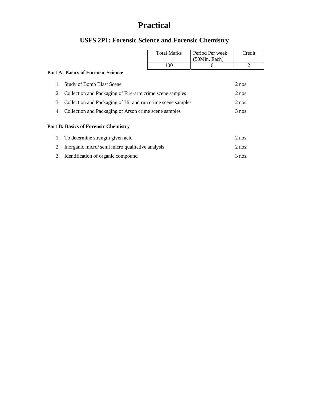# **Practical**

# **USFS 2P1: Forensic Science and Forensic Chemistry**

|                                                                   |                                                 | <b>Total Marks</b> | Period Per week | Credit   |
|-------------------------------------------------------------------|-------------------------------------------------|--------------------|-----------------|----------|
|                                                                   |                                                 |                    | (50Min. Each)   |          |
|                                                                   |                                                 | 100                | 6               | 2        |
|                                                                   | <b>Part A: Basics of Forensic Science</b>       |                    |                 |          |
|                                                                   |                                                 |                    |                 |          |
|                                                                   | <b>Study of Bomb Blast Scene</b>                |                    |                 | $2$ nos. |
| Collection and Packaging of Fire-arm crime scene samples<br>2.    |                                                 |                    | $2$ nos.        |          |
| Collection and Packaging of Hit and run crime scene samples<br>3. |                                                 | $2$ nos.           |                 |          |
| Collection and Packaging of Arson crime scene samples<br>4.       |                                                 | $3$ nos.           |                 |          |
|                                                                   |                                                 |                    |                 |          |
|                                                                   | <b>Part B: Basics of Forensic Chemistry</b>     |                    |                 |          |
|                                                                   | 1. To determine strength given acid             |                    |                 | $2$ nos. |
|                                                                   | Inorganic micro/semi micro qualitative analysis |                    |                 | $2$ nos. |
| 3.                                                                | Identification of organic compound              |                    |                 | $3$ nos. |
|                                                                   |                                                 |                    |                 |          |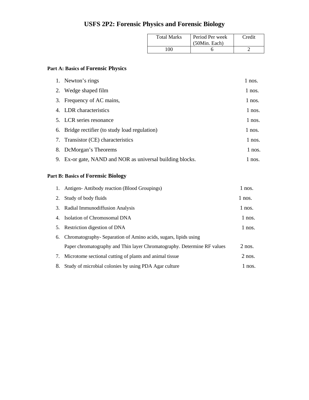# **USFS 2P2: Forensic Physics and Forensic Biology**

| <b>Total Marks</b> | Period Per week<br>(50Min. Each) | Credit |
|--------------------|----------------------------------|--------|
| 100                |                                  |        |

### **Part A: Basics of Forensic Physics**

| 1. Newton's rings                                         | $1$ nos. |
|-----------------------------------------------------------|----------|
| 2. Wedge shaped film                                      | 1 nos.   |
| 3. Frequency of AC mains,                                 | $1$ nos. |
| 4. LDR characteristics                                    | $1$ nos. |
| 5. LCR series resonance                                   | $1$ nos. |
| 6. Bridge rectifier (to study load regulation)            | $1$ nos. |
| 7. Transistor (CE) characteristics                        | $1$ nos. |
| 8. DcMorgan's Theorems                                    | 1 nos.   |
| 9. Ex-or gate, NAND and NOR as universal building blocks. | 1 nos.   |

### **Part B: Basics of Forensic Biology**

|    | 1. Antigen-Antibody reaction (Blood Groupings)                          | $1$ nos. |
|----|-------------------------------------------------------------------------|----------|
| 2. | Study of body fluids                                                    | 1 nos.   |
|    | 3. Radial Immunodiffusion Analysis                                      | $1$ nos. |
|    | 4. Isolation of Chromosomal DNA                                         | $1$ nos. |
| 5. | Restriction digestion of DNA                                            | $1$ nos. |
| 6. | Chromatography- Separation of Amino acids, sugars, lipids using         |          |
|    | Paper chromatography and Thin layer Chromatography. Determine RF values | $2$ nos. |
| 7. | Microtome sectional cutting of plants and animal tissue                 | $2$ nos. |
| 8. | Study of microbial colonies by using PDA Agar culture                   | 1 nos.   |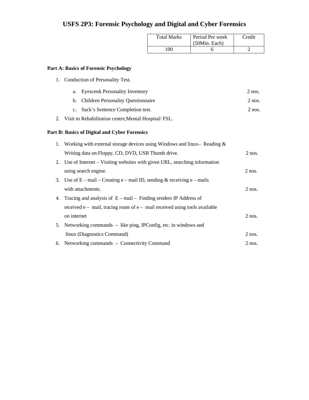## **USFS 2P3: Forensic Psychology and Digital and Cyber Forensics**

| <b>Total Marks</b> | Period Per week<br>(50Min. Each) | Credit |
|--------------------|----------------------------------|--------|
| 100                |                                  |        |

### **Part A: Basics of Forensic Psychology**

1. Conduction of Personality Test.

| a. Eyescenk Personality Inventory     | $2$ nos. |
|---------------------------------------|----------|
| b. Children Personality Questionnaire | $2$ nos. |

- c. Sack's Sentence Completion test. 2 nos.
- 2. Visit to Rehabilitation centre,Mental Hospital/ FSL.

### **Part B: Basics of Digital and Cyber Forensics**

| 1. Working with external storage devices using Windows and linux- Reading $\&$  |          |
|---------------------------------------------------------------------------------|----------|
| Writing data on Floppy, CD, DVD, USB Thumb drive.                               | $2$ nos. |
| 2. Use of Internet – Visiting websites with given URL, searching information    |          |
| using search engine.                                                            | $2$ nos. |
| 3. Use of $E - mail - Creating e - mail ID$ , sending & receiving $e - mail$    |          |
| with attachments.                                                               | $2$ nos. |
| 4. Tracing and analysis of $E - mail - Finding senders IP Address of$           |          |
| received $e$ – mail, tracing route of $e$ – mail received using tools available |          |
| on internet                                                                     | $2$ nos. |
| 5. Networking commands – like ping, IPConfig, etc. in windows and               |          |
| linux (Diagnostics Command)                                                     | $2$ nos. |
| 6. Networking commands – Connectivity Command                                   | $2$ nos. |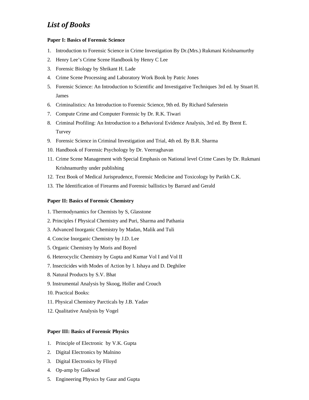### *List of Books*

#### **Paper I: Basics of Forensic Science**

- 1. Introduction to Forensic Science in Crime Investigation By Dr.(Mrs.) Rukmani Krishnamurthy
- 2. Henry Lee's Crime Scene Handbook by Henry C Lee
- 3. Forensic Biology by Shrikant H. Lade
- 4. Crime Scene Processing and Laboratory Work Book by Patric Jones
- 5. Forensic Science: An Introduction to Scientific and Investigative Techniques 3rd ed. by Stuart H. James
- 6. Criminalistics: An Introduction to Forensic Science, 9th ed. By Richard Saferstein
- 7. Compute Crime and Computer Forensic by Dr. R.K. Tiwari
- 8. Criminal Profiling: An Introduction to a Behavioral Evidence Analysis, 3rd ed. By Brent E. Turvey
- 9. Forensic Science in Criminal Investigation and Trial, 4th ed. By B.R. Sharma
- 10. Handbook of Forensic Psychology by Dr. Veerraghavan
- 11. Crime Scene Management with Special Emphasis on National level Crime Cases by Dr. Rukmani Krishnamurthy under publishing
- 12. Text Book of Medical Jurisprudence, Forensic Medicine and Toxicology by Parikh C.K.
- 13. The Identification of Firearms and Forensic ballistics by Barrard and Gerald

#### **Paper II: Basics of Forensic Chemistry**

- 1. Thermodynamics for Chemists by S, Glasstone
- 2. Principles f Physical Chemistry and Puri, Sharma and Pathania
- 3. Advanced Inorganic Chemistry by Madan, Malik and Tuli
- 4. Concise Inorganic Chemistry by J.D. Lee
- 5. Organic Chemistry by Moris and Boyed
- 6. Heterocyclic Chemistry by Gupta and Kumar Vol I and Vol II
- 7. Insecticides with Modes of Action by I. Ishaya and D. Deghilee
- 8. Natural Products by S.V. Bhat
- 9. Instrumental Analysis by Skoog, Holler and Crouch
- 10. Practical Books:
- 11. Physical Chemistry Parcticals by J.B. Yadav
- 12. Qualitative Analysis by Vogel

#### **Paper III: Basics of Forensic Physics**

- 1. Principle of Electronic by V.K. Gupta
- 2. Digital Electronics by Malnino
- 3. Digital Electronics by Flloyd
- 4. Op-amp by Gaikwad
- 5. Engineering Physics by Gaur and Gupta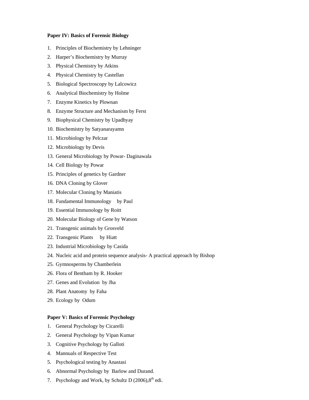#### **Paper IV: Basics of Forensic Biology**

- 1. Principles of Biochemistry by Lehninger
- 2. Harper's Biochemistry by Murray
- 3. Physical Chemistry by Atkins
- 4. Physical Chemistry by Castellan
- 5. Biological Spectroscopy by Lalcowicz
- 6. Analytical Biochemistry by Holme
- 7. Enzyme Kinetics by Plownan
- 8. Enzyme Structure and Mechanism by Ferst
- 9. Biophysical Chemistry by Upadhyay
- 10. Biochemistry by Satyanarayamn
- 11. Microbiology by Pelczar
- 12. Microbiology by Devis
- 13. General Microbiology by Powar- Daginawala
- 14. Cell Biology by Powar
- 15. Principles of genetics by Gardner
- 16. DNA Cloning by Glover
- 17. Molecular Cloning by Maniatis
- 18. Fundamental Immunology by Paul
- 19. Essential Immunology by Roitt
- 20. Molecular Biology of Gene by Watson
- 21. Transgenic animals by Grosveld
- 22. Transgenic Plants by Hiatt
- 23. Industrial Microbiology by Casida
- 24. Nucleic acid and protein sequence analysis- A practical approach by Bishop
- 25. Gymnosperms by Chamberlein
- 26. Flora of Bentham by R. Hooker
- 27. Genes and Evolution by Jha
- 28. Plant Anatomy by Faha
- 29. Ecology by Odum

### **Paper V: Basics of Forensic Psychology**

- 1. General Psychology by Cicarelli
- 2. General Psychology by Vipan Kumar
- 3. Cognitive Psychology by Galloti
- 4. Mannuals of Respective Test
- 5. Psychological testing by Anastasi
- 6. Abnormal Psychology by Barlow and Durand.
- 7. Psychology and Work, by Schultz D  $(2006)$ ,  $8<sup>th</sup>$  edi.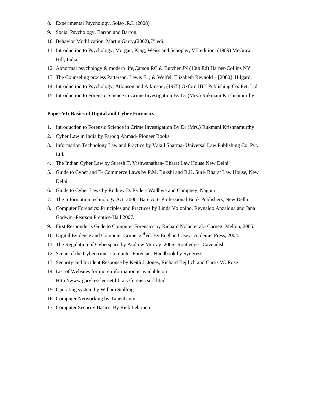- 8. Experimental Psychology, Solso .R.L.(2008)
- 9. Social Psychology, Barron and Barron.
- 10. Behavior Modification, Martin Garry,  $(2002)$ ,  $7<sup>th</sup>$  edi.
- 11. Introduction to Psychology, Morgan, King, Weiss and Schopler, VII edition, (1989) McGraw Hill, India.
- 12. Abnormal psychology & modern life,Carson RC & Butcher JN (10th Ed) Harper-Collins NY
- 13. The Counseling process Patterson, Lewis E. ; & Welfel, Elizabeth Reynold [2000] Hilgard,
- 14. Introduction to Psychology, Atkinson and Atkinson, (1975) Oxford IBH Publishing Co. Pvt. Ltd.
- 15. Introduction to Forensic Science in Crime Investigation By Dr.(Mrs.) Rukmani Krishnamurthy

### **Paper VI: Basics of Digital and Cyber Forensics**

- 1. Introduction to Forensic Science in Crime Investigation By Dr.(Mrs.) Rukmani Krishnamurthy
- 2. Cyber Law in India by Farooq Ahmad- Pioneer Books
- 3. Information Technology Law and Practice by Vakul Sharma- Universal Law Publishing Co. Pvt. Ltd.
- 4. The Indian Cyber Law by Suresh T. Vishwanathan- Bharat Law House New Delhi
- 5. Guide to Cyber and E- Commerce Laws by P.M. Bukshi and R.K. Suri- Bharat Law House, New Delhi
- 6. Guide to Cyber Laws by Rodney D. Ryder- Wadhwa and Compney, Nagpur
- 7. The Information technology Act, 2000- Bare Act- Professional Book Publishers, New Delhi.
- 8. Computer Forensics: Principles and Practices by Linda Volonino, Reynaldo Anzaldua and Jana Godwin -Pearson Prentice-Hall 2007.
- 9. First Responder's Gude to Computer Forensics by Richard Nolan et al.- Carnegi Mellon, 2005.
- 10. Digital Evidence and Computer Crime, 2<sup>nd</sup> ed. By Eoghan Casey-Acdemic Press, 2004.
- 11. The Regulation of Cyberspace by Andrew Murray, 2006- Routledge –Cavendish.
- 12. Scene of the Cybercrime: Computer Forensics Handbook by Syngress.
- 13. Security and Incident Response by Keith J. Jones, Richard Bejtlich and Curtis W. Rose
- 14. List of Websites for more information is available on : Http://www.garykessler.net.library/forensicsurl.html
- 15. Operating system by Willam Stalling
- 16. Computer Networking by Tanenbaum
- 17. Computer Security Basics By Rick Lehtinen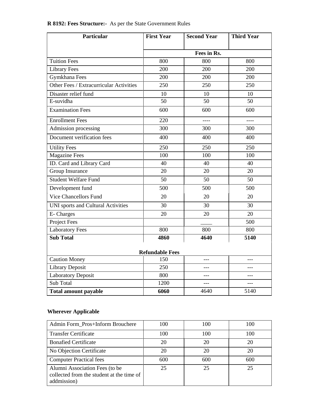| Particular                              | <b>First Year</b> | <b>Second Year</b> | <b>Third Year</b> |  |  |  |  |  |  |  |
|-----------------------------------------|-------------------|--------------------|-------------------|--|--|--|--|--|--|--|
|                                         |                   | Fees in Rs.        |                   |  |  |  |  |  |  |  |
| <b>Tuition Fees</b>                     | 800               | 800                | 800               |  |  |  |  |  |  |  |
| <b>Library Fees</b>                     | 200               | 200                | 200               |  |  |  |  |  |  |  |
| Gymkhana Fees                           | 200               | 200                | 200               |  |  |  |  |  |  |  |
| Other Fees / Extracurricular Activities | 250               | 250                | 250               |  |  |  |  |  |  |  |
| Disaster relief fund                    | 10                | 10                 | 10                |  |  |  |  |  |  |  |
| E-suvidha                               | 50                | 50                 | 50                |  |  |  |  |  |  |  |
| <b>Examination Fees</b>                 | 600               | 600                | 600               |  |  |  |  |  |  |  |
| <b>Enrollment Fees</b>                  | 220               | $- - - -$          | $---$             |  |  |  |  |  |  |  |
| Admission processing                    | 300               | 300                | 300               |  |  |  |  |  |  |  |
| Document verification fees              | 400               | 400                | 400               |  |  |  |  |  |  |  |
| <b>Utility Fees</b>                     | 250               | 250                | 250               |  |  |  |  |  |  |  |
| <b>Magazine Fees</b>                    | 100               | 100                | 100               |  |  |  |  |  |  |  |
| ID. Card and Library Card               | 40                | 40                 | 40                |  |  |  |  |  |  |  |
| <b>Group Insurance</b>                  | 20                | 20                 | 20                |  |  |  |  |  |  |  |
| <b>Student Welfare Fund</b>             | 50                | 50                 | 50                |  |  |  |  |  |  |  |
| Development fund                        | 500               | 500                | 500               |  |  |  |  |  |  |  |
| <b>Vice Chancellors Fund</b>            | 20                | 20                 | 20                |  |  |  |  |  |  |  |
| UNI sports and Cultural Activities      | 30                | 30                 | 30                |  |  |  |  |  |  |  |
| E- Charges                              | 20                | 20                 | 20                |  |  |  |  |  |  |  |
| Project Fees                            |                   |                    | 500               |  |  |  |  |  |  |  |
| <b>Laboratory Fees</b>                  | 800               | 800                | 800               |  |  |  |  |  |  |  |
| <b>Sub Total</b>                        | 4860              | 4640               | 5140              |  |  |  |  |  |  |  |
| <b>Refundable Fees</b>                  |                   |                    |                   |  |  |  |  |  |  |  |
| <b>Caution Money</b>                    | 150               | $---$              | ---               |  |  |  |  |  |  |  |
| <b>Library Deposit</b>                  | 250               | $---$              | ---               |  |  |  |  |  |  |  |
| <b>Laboratory Deposit</b>               | 800               | $---$              | ---               |  |  |  |  |  |  |  |
| Sub Total                               | 1200              | ---                | $---$             |  |  |  |  |  |  |  |
| <b>Total amount payable</b>             | 6060              | 4640               | 5140              |  |  |  |  |  |  |  |

## **R 8192: Fees Structure:-** As per the State Government Rules

### **Wherever Applicable**

| Admin Form_Pros+Inform Brouchere                                                           | 100 | 100 | 100 |
|--------------------------------------------------------------------------------------------|-----|-----|-----|
| <b>Transfer Certificate</b>                                                                | 100 | 100 | 100 |
| <b>Bonafied Certificate</b>                                                                | 20  | 20  | 20  |
| No Objection Certificate                                                                   | 20  | 20  | 20  |
| <b>Computer Practical fees</b>                                                             | 600 | 600 | 600 |
| Alumni Association Fees (to be<br>collected from the student at the time of<br>addmission) | 25  | 25  | 25  |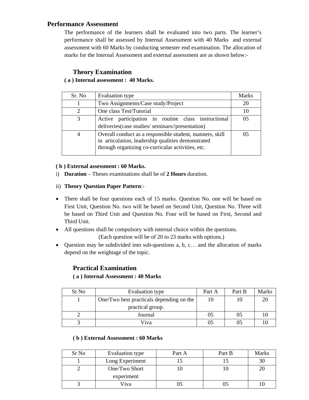### **Performance Assessment**

The performance of the learners shall be evaluated into two parts. The learner's performance shall be assessed by Internal Assessment with 40 Marks and external assessment with 60 Marks by conducting semester end examination. The allocation of marks for the Internal Assessment and external assessment are as shown below:-

### **Theory Examination**

### **( a ) Internal assessment : 40 Marks.**

| Sr. No                | Evaluation type                                                                                                                                                     | Marks |
|-----------------------|---------------------------------------------------------------------------------------------------------------------------------------------------------------------|-------|
|                       | Two Assignments/Case study/Project                                                                                                                                  | 20    |
| $\mathcal{D}_{\cdot}$ | One class Test/Tutorial                                                                                                                                             | 10    |
| 3                     | Active participation in routine class instructional<br>deliveries (case studies/seminars//presentation)                                                             | 05    |
| 4                     | Overall conduct as a responsible student, manners, skill<br>in articulation, leadership qualities demonstrated<br>through organizing co-curricular activities, etc. |       |

### **( b ) External assessment : 60 Marks.**

- i) **Duration** Theses examinations shall be of **2 Hours** duration.
- ii) **Theory Question Paper Pattern**:-
- There shall be four questions each of 15 marks. Question No. one will be based on First Unit, Question No. two will be based on Second Unit, Question No. Three will be based on Third Unit and Question No. Four will be based on First, Second and Third Unit.
- All questions shall be compulsory with internal choice within the questions. (Each question will be of 20 to 23 marks with options.)

• Question may be subdivided into sub-questions a, b, c… and the allocation of marks

### **Practical Examination**

depend on the weightage of the topic.

### **( a ) Internal Assessment : 40 Marks**

| Sr <sub>No</sub> | Evaluation type                          | Part A | Part B | Marks |
|------------------|------------------------------------------|--------|--------|-------|
|                  | One/Two best practicals depending on the | 10     | 10     |       |
|                  | practical group.                         |        |        |       |
|                  | Journal                                  | 05     | 05     |       |
|                  | Viva                                     | 05     | 05     |       |

### **( b ) External Assessment : 60 Marks**

| Sr <sub>No</sub> | Evaluation type | Part A | Part B | <b>Marks</b> |
|------------------|-----------------|--------|--------|--------------|
|                  | Long Experiment |        |        | 30           |
|                  | One/Two Short   |        |        | 20           |
|                  | experiment      |        |        |              |
|                  | Viva            |        |        |              |